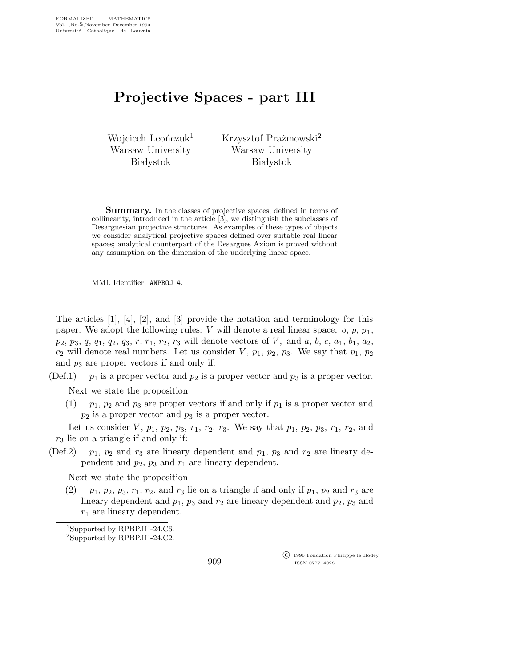## Projective Spaces - part III

Wojciech Leończuk<sup>1</sup> Warsaw University **Białystok** 

Krzysztof Prażmowski<sup>2</sup> Warsaw University **Białystok** 

Summary. In the classes of projective spaces, defined in terms of collinearity, introduced in the article [3], we distinguish the subclasses of Desarguesian projective structures. As examples of these types of objects we consider analytical projective spaces defined over suitable real linear spaces; analytical counterpart of the Desargues Axiom is proved without any assumption on the dimension of the underlying linear space.

MML Identifier: ANPROJ 4.

The articles [1], [4], [2], and [3] provide the notation and terminology for this paper. We adopt the following rules: V will denote a real linear space,  $o, p, p_1$ ,  $p_2, p_3, q, q_1, q_2, q_3, r, r_1, r_2, r_3$  will denote vectors of V, and a, b, c, a<sub>1</sub>, b<sub>1</sub>, a<sub>2</sub>,  $c_2$  will denote real numbers. Let us consider  $V$ ,  $p_1$ ,  $p_2$ ,  $p_3$ . We say that  $p_1$ ,  $p_2$ and  $p_3$  are proper vectors if and only if:

(Def.1)  $p_1$  is a proper vector and  $p_2$  is a proper vector and  $p_3$  is a proper vector.

Next we state the proposition

 $(1)$  p<sub>1</sub>, p<sub>2</sub> and p<sub>3</sub> are proper vectors if and only if p<sub>1</sub> is a proper vector and  $p_2$  is a proper vector and  $p_3$  is a proper vector.

Let us consider  $V$ ,  $p_1$ ,  $p_2$ ,  $p_3$ ,  $r_1$ ,  $r_2$ ,  $r_3$ . We say that  $p_1$ ,  $p_2$ ,  $p_3$ ,  $r_1$ ,  $r_2$ , and  $r_3$  lie on a triangle if and only if:

(Def.2)  $p_1$ ,  $p_2$  and  $r_3$  are lineary dependent and  $p_1$ ,  $p_3$  and  $r_2$  are lineary dependent and  $p_2$ ,  $p_3$  and  $r_1$  are lineary dependent.

Next we state the proposition

 $(2)$  p<sub>1</sub>,  $p_2$ ,  $p_3$ ,  $r_1$ ,  $r_2$ , and  $r_3$  lie on a triangle if and only if  $p_1$ ,  $p_2$  and  $r_3$  are lineary dependent and  $p_1$ ,  $p_3$  and  $r_2$  are lineary dependent and  $p_2$ ,  $p_3$  and  $r_1$  are lineary dependent.

 c 1990 Fondation Philippe le Hodey ISSN 0777–4028

<sup>1</sup>Supported by RPBP.III-24.C6.

<sup>2</sup>Supported by RPBP.III-24.C2.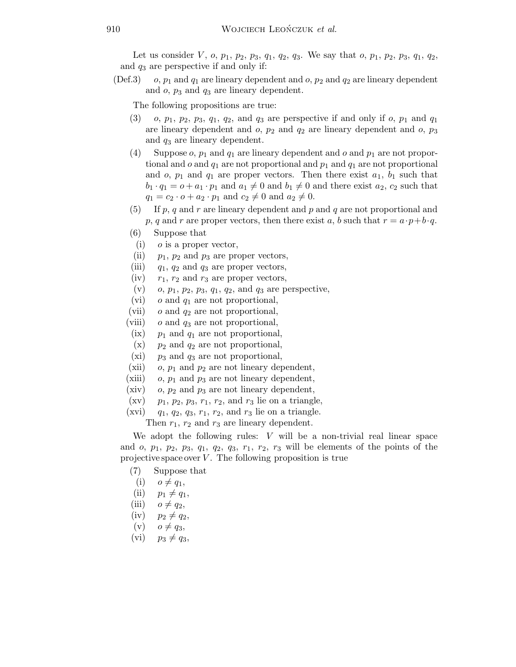Let us consider V, o,  $p_1$ ,  $p_2$ ,  $p_3$ ,  $q_1$ ,  $q_2$ ,  $q_3$ . We say that o,  $p_1$ ,  $p_2$ ,  $p_3$ ,  $q_1$ ,  $q_2$ , and  $q_3$  are perspective if and only if:

(Def.3) o,  $p_1$  and  $q_1$  are lineary dependent and o,  $p_2$  and  $q_2$  are lineary dependent and  $o$ ,  $p_3$  and  $q_3$  are lineary dependent.

The following propositions are true:

- $(3)$  o,  $p_1$ ,  $p_2$ ,  $p_3$ ,  $q_1$ ,  $q_2$ , and  $q_3$  are perspective if and only if o,  $p_1$  and  $q_1$ are lineary dependent and  $o$ ,  $p_2$  and  $q_2$  are lineary dependent and  $o$ ,  $p_3$ and  $q_3$  are lineary dependent.
- (4) Suppose  $o, p_1$  and  $q_1$  are lineary dependent and  $o$  and  $p_1$  are not proportional and  $o$  and  $q_1$  are not proportional and  $p_1$  and  $q_1$  are not proportional and  $o$ ,  $p_1$  and  $q_1$  are proper vectors. Then there exist  $a_1$ ,  $b_1$  such that  $b_1 \cdot q_1 = o + a_1 \cdot p_1$  and  $a_1 \neq 0$  and  $b_1 \neq 0$  and there exist  $a_2, c_2$  such that  $q_1 = c_2 \cdot o + a_2 \cdot p_1$  and  $c_2 \neq 0$  and  $a_2 \neq 0$ .
- (5) If p, q and r are lineary dependent and p and q are not proportional and p, q and r are proper vectors, then there exist a, b such that  $r = a \cdot p + b \cdot q$ .
- (6) Suppose that
- (i)  $o$  is a proper vector,
- (ii)  $p_1$ ,  $p_2$  and  $p_3$  are proper vectors,
- (iii)  $q_1, q_2$  and  $q_3$  are proper vectors,
- (iv)  $r_1$ ,  $r_2$  and  $r_3$  are proper vectors,
- (v)  $o, p_1, p_2, p_3, q_1, q_2, \text{ and } q_3 \text{ are perspective},$
- (vi)  $o$  and  $q_1$  are not proportional,
- (vii)  $o$  and  $q_2$  are not proportional,
- (viii)  $o$  and  $q_3$  are not proportional,
- (ix)  $p_1$  and  $q_1$  are not proportional,
- $(x)$  p<sub>2</sub> and  $q_2$  are not proportional,
- (xi)  $p_3$  and  $q_3$  are not proportional,
- (xii) o,  $p_1$  and  $p_2$  are not lineary dependent,
- (xiii)  $o, p_1$  and  $p_3$  are not lineary dependent,
- (xiv) o,  $p_2$  and  $p_3$  are not lineary dependent,
- $(xv)$  p<sub>1</sub>, p<sub>2</sub>, p<sub>3</sub>,  $r_1$ ,  $r_2$ , and  $r_3$  lie on a triangle,
- (xvi)  $q_1, q_2, q_3, r_1, r_2,$  and  $r_3$  lie on a triangle.

Then  $r_1$ ,  $r_2$  and  $r_3$  are lineary dependent.

We adopt the following rules:  $V$  will be a non-trivial real linear space and  $o, p_1, p_2, p_3, q_1, q_2, q_3, r_1, r_2, r_3$  will be elements of the points of the projective space over  $V$ . The following proposition is true

- (7) Suppose that
- $(i)$   $o \neq q_1$ ,
- (ii)  $p_1 \neq q_1$ ,
- (iii)  $o \neq q_2$ ,
- $(iv)$   $p_2 \neq q_2$ ,
- $(v)$   $o \neq q_3$ ,
- (vi)  $p_3 \neq q_3$ ,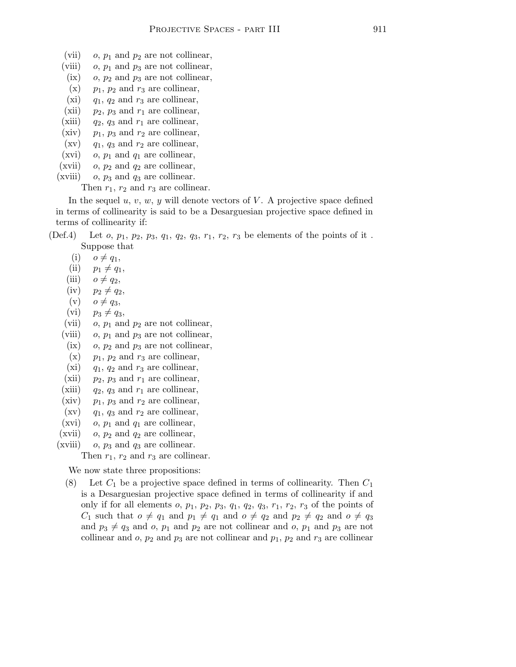- (vii)  $o, p_1$  and  $p_2$  are not collinear,
- (viii)  $o, p_1$  and  $p_3$  are not collinear,
- (ix) o,  $p_2$  and  $p_3$  are not collinear,
- $(x)$  p<sub>1</sub>, p<sub>2</sub> and r<sub>3</sub> are collinear,
- (xi)  $q_1$ ,  $q_2$  and  $r_3$  are collinear,
- (xii)  $p_2$ ,  $p_3$  and  $r_1$  are collinear, (xiii)  $q_2$ ,  $q_3$  and  $r_1$  are collinear,
- (xiv)  $p_1$ ,  $p_3$  and  $r_2$  are collinear,
- $(xv)$  q<sub>1</sub>, q<sub>3</sub> and  $r_2$  are collinear,
- (xvi) o,  $p_1$  and  $q_1$  are collinear,
- (xvii)  $o, p_2$  and  $q_2$  are collinear,
- (xviii)  $o, p_3$  and  $q_3$  are collinear.

Then  $r_1$ ,  $r_2$  and  $r_3$  are collinear.

In the sequel  $u, v, w, y$  will denote vectors of V. A projective space defined in terms of collinearity is said to be a Desarguesian projective space defined in terms of collinearity if:

- (Def.4) Let  $o, p_1, p_2, p_3, q_1, q_2, q_3, r_1, r_2, r_3$  be elements of the points of it. Suppose that
	- $(i)$   $o \neq q_1$ ,
	- (ii)  $p_1 \neq q_1$ ,
	- (iii)  $o \neq q_2$ ,
	- $(iv)$   $p_2 \neq q_2$ ,
	- $(v)$   $o \neq q_3$ ,
	- $(vi)$   $p_3 \neq q_3$ ,
	- (vii)  $o, p_1$  and  $p_2$  are not collinear,
	- (viii) o,  $p_1$  and  $p_3$  are not collinear,
	- (ix) o,  $p_2$  and  $p_3$  are not collinear,
	- $(x)$  p<sub>1</sub>, p<sub>2</sub> and r<sub>3</sub> are collinear,
	- (xi)  $q_1$ ,  $q_2$  and  $r_3$  are collinear,
	- (xii)  $p_2$ ,  $p_3$  and  $r_1$  are collinear,
	- (xiii)  $q_2$ ,  $q_3$  and  $r_1$  are collinear,
	- (xiv)  $p_1$ ,  $p_3$  and  $r_2$  are collinear,
	- $(xv)$  q<sub>1</sub>, q<sub>3</sub> and  $r_2$  are collinear,
	- (xvi) o,  $p_1$  and  $q_1$  are collinear,
	- (xvii) o,  $p_2$  and  $q_2$  are collinear,
	- (xviii) o,  $p_3$  and  $q_3$  are collinear.

Then  $r_1$ ,  $r_2$  and  $r_3$  are collinear.

We now state three propositions:

(8) Let  $C_1$  be a projective space defined in terms of collinearity. Then  $C_1$ is a Desarguesian projective space defined in terms of collinearity if and only if for all elements  $o, p_1, p_2, p_3, q_1, q_2, q_3, r_1, r_2, r_3$  of the points of  $C_1$  such that  $o \neq q_1$  and  $p_1 \neq q_1$  and  $o \neq q_2$  and  $p_2 \neq q_2$  and  $o \neq q_3$ and  $p_3 \neq q_3$  and o,  $p_1$  and  $p_2$  are not collinear and o,  $p_1$  and  $p_3$  are not collinear and  $o, p_2$  and  $p_3$  are not collinear and  $p_1, p_2$  and  $r_3$  are collinear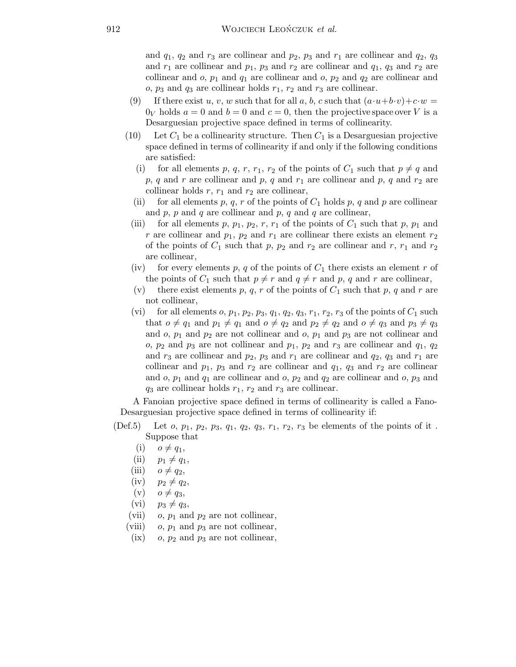and  $q_1$ ,  $q_2$  and  $r_3$  are collinear and  $p_2$ ,  $p_3$  and  $r_1$  are collinear and  $q_2$ ,  $q_3$ and  $r_1$  are collinear and  $p_1$ ,  $p_3$  and  $r_2$  are collinear and  $q_1$ ,  $q_3$  and  $r_2$  are collinear and  $o$ ,  $p_1$  and  $q_1$  are collinear and  $o$ ,  $p_2$  and  $q_2$  are collinear and  $o, p_3$  and  $q_3$  are collinear holds  $r_1, r_2$  and  $r_3$  are collinear.

- (9) If there exist u, v, w such that for all a, b, c such that  $(a \cdot u + b \cdot v) + c \cdot w =$  $0_V$  holds  $a = 0$  and  $b = 0$  and  $c = 0$ , then the projective space over V is a Desarguesian projective space defined in terms of collinearity.
- (10) Let  $C_1$  be a collinearity structure. Then  $C_1$  is a Desarguesian projective space defined in terms of collinearity if and only if the following conditions are satisfied:
	- (i) for all elements p, q, r,  $r_1$ ,  $r_2$  of the points of  $C_1$  such that  $p \neq q$  and  $p, q$  and r are collinear and p, q and  $r_1$  are collinear and p, q and  $r_2$  are collinear holds  $r, r_1$  and  $r_2$  are collinear,
	- for all elements p, q, r of the points of  $C_1$  holds p, q and p are collinear and  $p$ ,  $p$  and  $q$  are collinear and  $p$ ,  $q$  and  $q$  are collinear,
	- (iii) for all elements p,  $p_1$ ,  $p_2$ , r,  $r_1$  of the points of  $C_1$  such that p,  $p_1$  and r are collinear and  $p_1$ ,  $p_2$  and  $r_1$  are collinear there exists an element  $r_2$ of the points of  $C_1$  such that p,  $p_2$  and  $r_2$  are collinear and r,  $r_1$  and  $r_2$ are collinear,
	- (iv) for every elements p, q of the points of  $C_1$  there exists an element r of the points of  $C_1$  such that  $p \neq r$  and  $q \neq r$  and p, q and r are collinear,
	- (v) there exist elements p, q, r of the points of  $C_1$  such that p, q and r are not collinear,
	- (vi) for all elements  $o, p_1, p_2, p_3, q_1, q_2, q_3, r_1, r_2, r_3$  of the points of  $C_1$  such that  $o \neq q_1$  and  $p_1 \neq q_1$  and  $o \neq q_2$  and  $p_2 \neq q_2$  and  $o \neq q_3$  and  $p_3 \neq q_3$ and  $o, p_1$  and  $p_2$  are not collinear and  $o, p_1$  and  $p_3$  are not collinear and o,  $p_2$  and  $p_3$  are not collinear and  $p_1$ ,  $p_2$  and  $r_3$  are collinear and  $q_1$ ,  $q_2$ and  $r_3$  are collinear and  $p_2$ ,  $p_3$  and  $r_1$  are collinear and  $q_2$ ,  $q_3$  and  $r_1$  are collinear and  $p_1$ ,  $p_3$  and  $r_2$  are collinear and  $q_1$ ,  $q_3$  and  $r_2$  are collinear and  $o, p_1$  and  $q_1$  are collinear and  $o, p_2$  and  $q_2$  are collinear and  $o, p_3$  and  $q_3$  are collinear holds  $r_1$ ,  $r_2$  and  $r_3$  are collinear.

A Fanoian projective space defined in terms of collinearity is called a Fano-Desarguesian projective space defined in terms of collinearity if:

- (Def.5) Let  $o, p_1, p_2, p_3, q_1, q_2, q_3, r_1, r_2, r_3$  be elements of the points of it. Suppose that
	- $(i)$   $o \neq q_1$ ,
	- (ii)  $p_1 \neq q_1$ ,
	- (iii)  $o \neq q_2$ ,
	- $(iv)$   $p_2 \neq q_2$ ,
	- (v)  $o \neq q_3$ ,
	- (vi)  $p_3 \neq q_3$ ,
	- (vii) o,  $p_1$  and  $p_2$  are not collinear,
	- (viii) o,  $p_1$  and  $p_3$  are not collinear,
	- (ix) o,  $p_2$  and  $p_3$  are not collinear,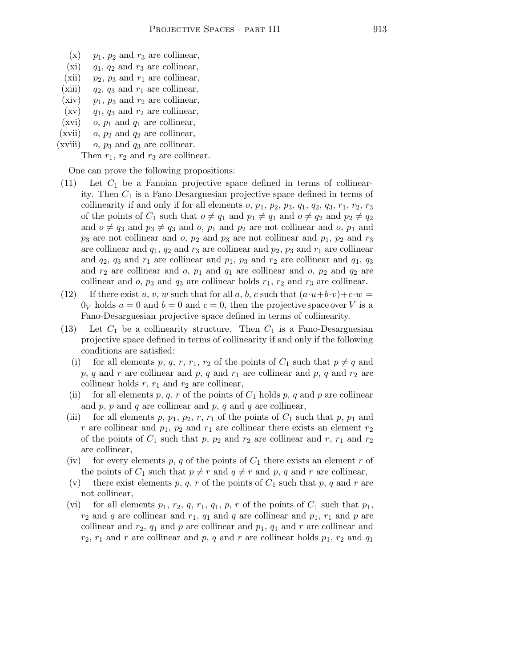- $(x)$  p<sub>1</sub>, p<sub>2</sub> and r<sub>3</sub> are collinear,
- (xi)  $q_1$ ,  $q_2$  and  $r_3$  are collinear,
- (xii)  $p_2$ ,  $p_3$  and  $r_1$  are collinear,
- (xiii)  $q_2$ ,  $q_3$  and  $r_1$  are collinear, (xiv)  $p_1$ ,  $p_3$  and  $r_2$  are collinear,
- $(xv)$  q<sub>1</sub>, q<sub>3</sub> and  $r_2$  are collinear,
- (xvi)  $o, p_1$  and  $q_1$  are collinear,
- (xvii)  $o, p_2$  and  $q_2$  are collinear,
- (xviii) o,  $p_3$  and  $q_3$  are collinear.

Then  $r_1$ ,  $r_2$  and  $r_3$  are collinear.

One can prove the following propositions:

- $(11)$  Let  $C_1$  be a Fanoian projective space defined in terms of collinearity. Then  $C_1$  is a Fano-Desarguesian projective space defined in terms of collinearity if and only if for all elements  $o, p_1, p_2, p_3, q_1, q_2, q_3, r_1, r_2, r_3$ of the points of  $C_1$  such that  $o \neq q_1$  and  $p_1 \neq q_1$  and  $o \neq q_2$  and  $p_2 \neq q_2$ and  $o \neq q_3$  and  $p_3 \neq q_3$  and o,  $p_1$  and  $p_2$  are not collinear and o,  $p_1$  and  $p_3$  are not collinear and o,  $p_2$  and  $p_3$  are not collinear and  $p_1$ ,  $p_2$  and  $r_3$ are collinear and  $q_1$ ,  $q_2$  and  $r_3$  are collinear and  $p_2$ ,  $p_3$  and  $r_1$  are collinear and  $q_2$ ,  $q_3$  and  $r_1$  are collinear and  $p_1$ ,  $p_3$  and  $r_2$  are collinear and  $q_1$ ,  $q_3$ and  $r_2$  are collinear and o,  $p_1$  and  $q_1$  are collinear and o,  $p_2$  and  $q_2$  are collinear and  $o$ ,  $p_3$  and  $q_3$  are collinear holds  $r_1$ ,  $r_2$  and  $r_3$  are collinear.
- (12) If there exist u, v, w such that for all a, b, c such that  $(a\cdot u+b\cdot v)+c\cdot w=$  $0_V$  holds  $a = 0$  and  $b = 0$  and  $c = 0$ , then the projective space over V is a Fano-Desarguesian projective space defined in terms of collinearity.
- (13) Let  $C_1$  be a collinearity structure. Then  $C_1$  is a Fano-Desarguesian projective space defined in terms of collinearity if and only if the following conditions are satisfied:
	- (i) for all elements p, q, r, r<sub>1</sub>, r<sub>2</sub> of the points of  $C_1$  such that  $p \neq q$  and p, q and r are collinear and p, q and  $r_1$  are collinear and p, q and  $r_2$  are collinear holds  $r$ ,  $r_1$  and  $r_2$  are collinear,
	- (ii) for all elements p, q, r of the points of  $C_1$  holds p, q and p are collinear and  $p, p$  and  $q$  are collinear and  $p, q$  and  $q$  are collinear,
	- (iii) for all elements p,  $p_1$ ,  $p_2$ , r,  $r_1$  of the points of  $C_1$  such that p,  $p_1$  and r are collinear and  $p_1$ ,  $p_2$  and  $r_1$  are collinear there exists an element  $r_2$ of the points of  $C_1$  such that p,  $p_2$  and  $r_2$  are collinear and r,  $r_1$  and  $r_2$ are collinear,
	- (iv) for every elements p, q of the points of  $C_1$  there exists an element r of the points of  $C_1$  such that  $p \neq r$  and  $q \neq r$  and p, q and r are collinear,
	- (v) there exist elements p, q, r of the points of  $C_1$  such that p, q and r are not collinear,
	- (vi) for all elements  $p_1, r_2, q, r_1, q_1, p, r$  of the points of  $C_1$  such that  $p_1$ ,  $r_2$  and q are collinear and  $r_1$ ,  $q_1$  and q are collinear and  $p_1$ ,  $r_1$  and p are collinear and  $r_2$ ,  $q_1$  and p are collinear and  $p_1$ ,  $q_1$  and r are collinear and  $r_2$ ,  $r_1$  and r are collinear and p, q and r are collinear holds  $p_1$ ,  $r_2$  and  $q_1$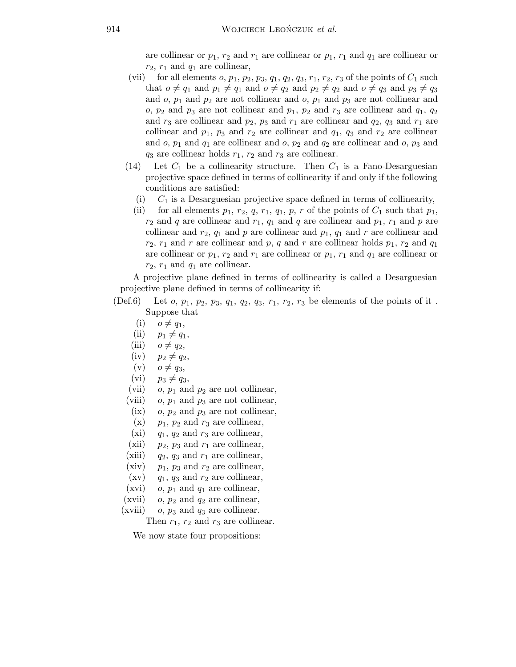are collinear or  $p_1, r_2$  and  $r_1$  are collinear or  $p_1, r_1$  and  $q_1$  are collinear or  $r_2$ ,  $r_1$  and  $q_1$  are collinear,

- (vii) for all elements  $o, p_1, p_2, p_3, q_1, q_2, q_3, r_1, r_2, r_3$  of the points of  $C_1$  such that  $o \neq q_1$  and  $p_1 \neq q_1$  and  $o \neq q_2$  and  $p_2 \neq q_2$  and  $o \neq q_3$  and  $p_3 \neq q_3$ and  $o, p_1$  and  $p_2$  are not collinear and  $o, p_1$  and  $p_3$  are not collinear and  $o, p_2$  and  $p_3$  are not collinear and  $p_1, p_2$  and  $r_3$  are collinear and  $q_1, q_2$ and  $r_3$  are collinear and  $p_2$ ,  $p_3$  and  $r_1$  are collinear and  $q_2$ ,  $q_3$  and  $r_1$  are collinear and  $p_1$ ,  $p_3$  and  $r_2$  are collinear and  $q_1$ ,  $q_3$  and  $r_2$  are collinear and  $o, p_1$  and  $q_1$  are collinear and  $o, p_2$  and  $q_2$  are collinear and  $o, p_3$  and  $q_3$  are collinear holds  $r_1$ ,  $r_2$  and  $r_3$  are collinear.
- (14) Let  $C_1$  be a collinearity structure. Then  $C_1$  is a Fano-Desarguesian projective space defined in terms of collinearity if and only if the following conditions are satisfied:
	- (i)  $C_1$  is a Desarguesian projective space defined in terms of collinearity,
	- (ii) for all elements  $p_1, r_2, q, r_1, q_1, p, r$  of the points of  $C_1$  such that  $p_1$ ,  $r_2$  and q are collinear and  $r_1$ ,  $q_1$  and q are collinear and  $p_1$ ,  $r_1$  and p are collinear and  $r_2$ ,  $q_1$  and p are collinear and  $p_1$ ,  $q_1$  and r are collinear and  $r_2$ ,  $r_1$  and r are collinear and p, q and r are collinear holds  $p_1$ ,  $r_2$  and  $q_1$ are collinear or  $p_1, r_2$  and  $r_1$  are collinear or  $p_1, r_1$  and  $q_1$  are collinear or  $r_2$ ,  $r_1$  and  $q_1$  are collinear.

A projective plane defined in terms of collinearity is called a Desarguesian projective plane defined in terms of collinearity if:

- (Def.6) Let  $o, p_1, p_2, p_3, q_1, q_2, q_3, r_1, r_2, r_3$  be elements of the points of it. Suppose that
	- $(i)$   $o \neq q_1$ ,
	- (ii)  $p_1 \neq q_1$ ,
	- (iii)  $o \neq q_2$ ,
	- $(iv)$   $p_2 \neq q_2$ ,
	- $(v)$   $o \neq q_3$ ,
	- $(vi)$   $p_3 \neq q_3$ ,
	- (vii) o,  $p_1$  and  $p_2$  are not collinear,
	- (viii) o,  $p_1$  and  $p_3$  are not collinear,
	- (ix) o,  $p_2$  and  $p_3$  are not collinear,
	- $(x)$  p<sub>1</sub>, p<sub>2</sub> and r<sub>3</sub> are collinear,
	- (xi)  $q_1, q_2$  and  $r_3$  are collinear,
	- (xii)  $p_2$ ,  $p_3$  and  $r_1$  are collinear,
	- (xiii)  $q_2$ ,  $q_3$  and  $r_1$  are collinear,
	- (xiv)  $p_1$ ,  $p_3$  and  $r_2$  are collinear,
	- $(xv)$  q<sub>1</sub>, q<sub>3</sub> and  $r_2$  are collinear,
	- (xvi)  $o, p_1$  and  $q_1$  are collinear,
	- (xvii) o,  $p_2$  and  $q_2$  are collinear,
	- (xviii) o,  $p_3$  and  $q_3$  are collinear.

Then  $r_1$ ,  $r_2$  and  $r_3$  are collinear.

We now state four propositions: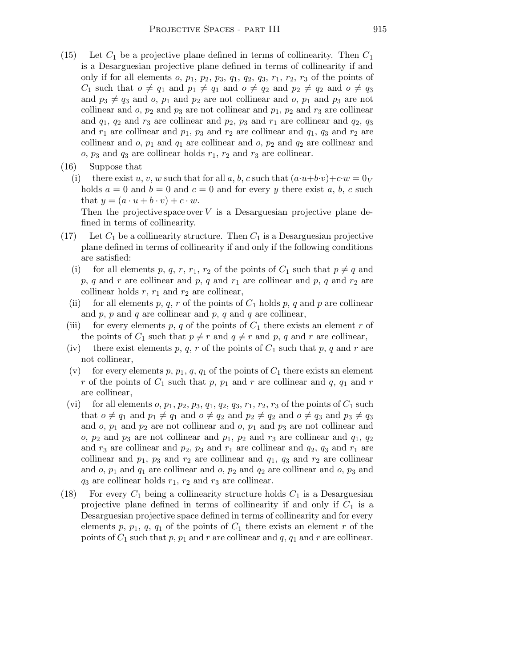- (15) Let  $C_1$  be a projective plane defined in terms of collinearity. Then  $C_1$ is a Desarguesian projective plane defined in terms of collinearity if and only if for all elements  $o, p_1, p_2, p_3, q_1, q_2, q_3, r_1, r_2, r_3$  of the points of  $C_1$  such that  $o \neq q_1$  and  $p_1 \neq q_1$  and  $o \neq q_2$  and  $p_2 \neq q_2$  and  $o \neq q_3$ and  $p_3 \neq q_3$  and o,  $p_1$  and  $p_2$  are not collinear and o,  $p_1$  and  $p_3$  are not collinear and  $o$ ,  $p_2$  and  $p_3$  are not collinear and  $p_1$ ,  $p_2$  and  $r_3$  are collinear and  $q_1$ ,  $q_2$  and  $r_3$  are collinear and  $p_2$ ,  $p_3$  and  $r_1$  are collinear and  $q_2$ ,  $q_3$ and  $r_1$  are collinear and  $p_1$ ,  $p_3$  and  $r_2$  are collinear and  $q_1$ ,  $q_3$  and  $r_2$  are collinear and  $o$ ,  $p_1$  and  $q_1$  are collinear and  $o$ ,  $p_2$  and  $q_2$  are collinear and  $o, p_3$  and  $q_3$  are collinear holds  $r_1, r_2$  and  $r_3$  are collinear.
- (16) Suppose that
	- (i) there exist u, v, w such that for all a, b, c such that  $(a\cdot u+b\cdot v)+c\cdot w=0_V$ holds  $a = 0$  and  $b = 0$  and  $c = 0$  and for every y there exist a, b, c such that  $y = (a \cdot u + b \cdot v) + c \cdot w$ .

Then the projective space over  $V$  is a Desarguesian projective plane defined in terms of collinearity.

- (17) Let  $C_1$  be a collinearity structure. Then  $C_1$  is a Desarguesian projective plane defined in terms of collinearity if and only if the following conditions are satisfied:
	- (i) for all elements p, q, r,  $r_1$ ,  $r_2$  of the points of  $C_1$  such that  $p \neq q$  and  $p, q$  and r are collinear and  $p, q$  and  $r_1$  are collinear and  $p, q$  and  $r_2$  are collinear holds  $r, r_1$  and  $r_2$  are collinear,
	- (ii) for all elements p, q, r of the points of  $C_1$  holds p, q and p are collinear and  $p$ ,  $p$  and  $q$  are collinear and  $p$ ,  $q$  and  $q$  are collinear,
	- (iii) for every elements p, q of the points of  $C_1$  there exists an element r of the points of  $C_1$  such that  $p \neq r$  and  $q \neq r$  and p, q and r are collinear,
	- (iv) there exist elements p, q, r of the points of  $C_1$  such that p, q and r are not collinear,
	- (v) for every elements p,  $p_1, q, q_1$  of the points of  $C_1$  there exists an element r of the points of  $C_1$  such that p,  $p_1$  and r are collinear and q,  $q_1$  and r are collinear,
	- (vi) for all elements  $o, p_1, p_2, p_3, q_1, q_2, q_3, r_1, r_2, r_3$  of the points of  $C_1$  such that  $o \neq q_1$  and  $p_1 \neq q_1$  and  $o \neq q_2$  and  $p_2 \neq q_2$  and  $o \neq q_3$  and  $p_3 \neq q_3$ and  $o, p_1$  and  $p_2$  are not collinear and  $o, p_1$  and  $p_3$  are not collinear and o,  $p_2$  and  $p_3$  are not collinear and  $p_1$ ,  $p_2$  and  $r_3$  are collinear and  $q_1$ ,  $q_2$ and  $r_3$  are collinear and  $p_2$ ,  $p_3$  and  $r_1$  are collinear and  $q_2$ ,  $q_3$  and  $r_1$  are collinear and  $p_1$ ,  $p_3$  and  $r_2$  are collinear and  $q_1$ ,  $q_3$  and  $r_2$  are collinear and  $o, p_1$  and  $q_1$  are collinear and  $o, p_2$  and  $q_2$  are collinear and  $o, p_3$  and  $q_3$  are collinear holds  $r_1$ ,  $r_2$  and  $r_3$  are collinear.
- (18) For every  $C_1$  being a collinearity structure holds  $C_1$  is a Desarguesian projective plane defined in terms of collinearity if and only if  $C_1$  is a Desarguesian projective space defined in terms of collinearity and for every elements p,  $p_1$ ,  $q$ ,  $q_1$  of the points of  $C_1$  there exists an element r of the points of  $C_1$  such that p,  $p_1$  and r are collinear and q,  $q_1$  and r are collinear.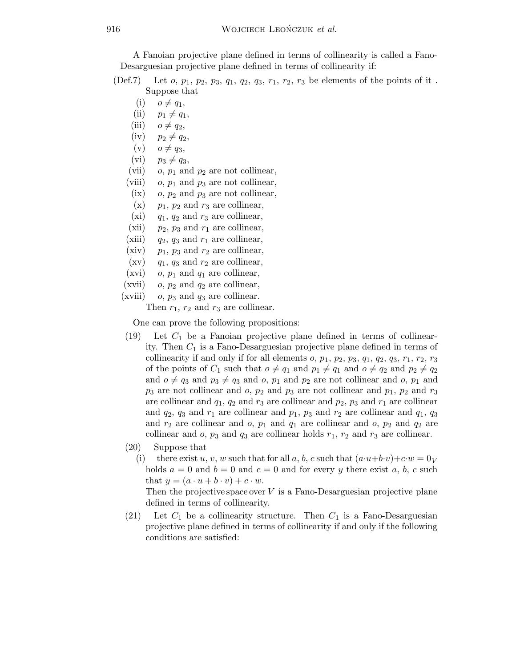A Fanoian projective plane defined in terms of collinearity is called a Fano-Desarguesian projective plane defined in terms of collinearity if:

(Def.7) Let  $o, p_1, p_2, p_3, q_1, q_2, q_3, r_1, r_2, r_3$  be elements of the points of it. Suppose that

- $(i)$   $o \neq q_1$ ,
- (ii)  $p_1 \neq q_1$ ,
- (iii)  $o \neq q_2$ ,
- $(iv)$   $p_2 \neq q_2$ ,
- $(v)$   $o \neq q_3$ ,
- (vi)  $p_3 \neq q_3$ ,
- (vii)  $o, p_1$  and  $p_2$  are not collinear,
- (viii) o,  $p_1$  and  $p_3$  are not collinear,
- (ix)  $o, p_2$  and  $p_3$  are not collinear,
- $(x)$  p<sub>1</sub>, p<sub>2</sub> and r<sub>3</sub> are collinear,
- (xi)  $q_1, q_2$  and  $r_3$  are collinear,
- (xii)  $p_2$ ,  $p_3$  and  $r_1$  are collinear,
- (xiii)  $q_2$ ,  $q_3$  and  $r_1$  are collinear,
- (xiv)  $p_1$ ,  $p_3$  and  $r_2$  are collinear,
- $(xv)$  q<sub>1</sub>, q<sub>3</sub> and  $r_2$  are collinear,
- (xvi)  $o, p_1$  and  $q_1$  are collinear,
- (xvii) o,  $p_2$  and  $q_2$  are collinear,
- (xviii) o,  $p_3$  and  $q_3$  are collinear.

Then  $r_1$ ,  $r_2$  and  $r_3$  are collinear.

One can prove the following propositions:

- $(19)$  Let  $C_1$  be a Fanoian projective plane defined in terms of collinearity. Then  $C_1$  is a Fano-Desarguesian projective plane defined in terms of collinearity if and only if for all elements  $o, p_1, p_2, p_3, q_1, q_2, q_3, r_1, r_2, r_3$ of the points of  $C_1$  such that  $o \neq q_1$  and  $p_1 \neq q_1$  and  $o \neq q_2$  and  $p_2 \neq q_2$ and  $o \neq q_3$  and  $p_3 \neq q_3$  and o,  $p_1$  and  $p_2$  are not collinear and o,  $p_1$  and  $p_3$  are not collinear and  $o$ ,  $p_2$  and  $p_3$  are not collinear and  $p_1$ ,  $p_2$  and  $r_3$ are collinear and  $q_1$ ,  $q_2$  and  $r_3$  are collinear and  $p_2$ ,  $p_3$  and  $r_1$  are collinear and  $q_2$ ,  $q_3$  and  $r_1$  are collinear and  $p_1$ ,  $p_3$  and  $r_2$  are collinear and  $q_1$ ,  $q_3$ and  $r_2$  are collinear and o,  $p_1$  and  $q_1$  are collinear and o,  $p_2$  and  $q_2$  are collinear and  $o$ ,  $p_3$  and  $q_3$  are collinear holds  $r_1$ ,  $r_2$  and  $r_3$  are collinear.
- (20) Suppose that
	- (i) there exist u, v, w such that for all a, b, c such that  $(a\cdot u+b\cdot v)+c\cdot w=0_V$ holds  $a = 0$  and  $b = 0$  and  $c = 0$  and for every y there exist a, b, c such that  $y = (a \cdot u + b \cdot v) + c \cdot w$ .

Then the projective space over  $V$  is a Fano-Desarguesian projective plane defined in terms of collinearity.

(21) Let  $C_1$  be a collinearity structure. Then  $C_1$  is a Fano-Desarguesian projective plane defined in terms of collinearity if and only if the following conditions are satisfied: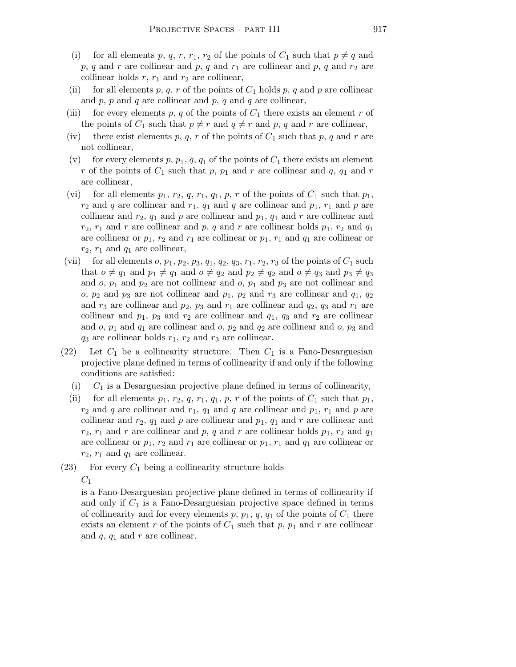- for all elements p, q, r, r<sub>1</sub>, r<sub>2</sub> of the points of  $C_1$  such that  $p \neq q$  and p, q and r are collinear and p, q and  $r_1$  are collinear and p, q and  $r_2$  are collinear holds  $r$ ,  $r_1$  and  $r_2$  are collinear,
- (ii) for all elements p, q, r of the points of  $C_1$  holds p, q and p are collinear and  $p$ ,  $p$  and  $q$  are collinear and  $p$ ,  $q$  and  $q$  are collinear,
- (iii) for every elements p, q of the points of  $C_1$  there exists an element r of the points of  $C_1$  such that  $p \neq r$  and  $q \neq r$  and p, q and r are collinear,
- (iv) there exist elements p, q, r of the points of  $C_1$  such that p, q and r are not collinear,
- (v) for every elements p,  $p_1, q, q_1$  of the points of  $C_1$  there exists an element r of the points of  $C_1$  such that p,  $p_1$  and r are collinear and q,  $q_1$  and r are collinear,
- (vi) for all elements  $p_1, r_2, q, r_1, q_1, p, r$  of the points of  $C_1$  such that  $p_1$ ,  $r_2$  and q are collinear and  $r_1$ ,  $q_1$  and q are collinear and  $p_1$ ,  $r_1$  and p are collinear and  $r_2$ ,  $q_1$  and p are collinear and  $p_1$ ,  $q_1$  and r are collinear and  $r_2$ ,  $r_1$  and r are collinear and p, q and r are collinear holds  $p_1$ ,  $r_2$  and  $q_1$ are collinear or  $p_1$ ,  $r_2$  and  $r_1$  are collinear or  $p_1$ ,  $r_1$  and  $q_1$  are collinear or  $r_2$ ,  $r_1$  and  $q_1$  are collinear,
- (vii) for all elements  $o, p_1, p_2, p_3, q_1, q_2, q_3, r_1, r_2, r_3$  of the points of  $C_1$  such that  $o \neq q_1$  and  $p_1 \neq q_1$  and  $o \neq q_2$  and  $p_2 \neq q_2$  and  $o \neq q_3$  and  $p_3 \neq q_3$ and  $o, p_1$  and  $p_2$  are not collinear and  $o, p_1$  and  $p_3$  are not collinear and o,  $p_2$  and  $p_3$  are not collinear and  $p_1$ ,  $p_2$  and  $r_3$  are collinear and  $q_1$ ,  $q_2$ and  $r_3$  are collinear and  $p_2$ ,  $p_3$  and  $r_1$  are collinear and  $q_2$ ,  $q_3$  and  $r_1$  are collinear and  $p_1$ ,  $p_3$  and  $r_2$  are collinear and  $q_1$ ,  $q_3$  and  $r_2$  are collinear and  $o, p_1$  and  $q_1$  are collinear and  $o, p_2$  and  $q_2$  are collinear and  $o, p_3$  and  $q_3$  are collinear holds  $r_1$ ,  $r_2$  and  $r_3$  are collinear.
- (22) Let  $C_1$  be a collinearity structure. Then  $C_1$  is a Fano-Desarguesian projective plane defined in terms of collinearity if and only if the following conditions are satisfied:
	- (i)  $C_1$  is a Desarguesian projective plane defined in terms of collinearity,
	- (ii) for all elements  $p_1, r_2, q, r_1, q_1, p, r$  of the points of  $C_1$  such that  $p_1$ ,  $r_2$  and q are collinear and  $r_1$ ,  $q_1$  and q are collinear and  $p_1$ ,  $r_1$  and p are collinear and  $r_2$ ,  $q_1$  and p are collinear and  $p_1$ ,  $q_1$  and r are collinear and  $r_2$ ,  $r_1$  and r are collinear and p, q and r are collinear holds  $p_1$ ,  $r_2$  and  $q_1$ are collinear or  $p_1$ ,  $r_2$  and  $r_1$  are collinear or  $p_1$ ,  $r_1$  and  $q_1$  are collinear or  $r_2$ ,  $r_1$  and  $q_1$  are collinear.
- (23) For every  $C_1$  being a collinearity structure holds  $C_1$

is a Fano-Desarguesian projective plane defined in terms of collinearity if and only if  $C_1$  is a Fano-Desarguesian projective space defined in terms of collinearity and for every elements  $p, p_1, q, q_1$  of the points of  $C_1$  there exists an element r of the points of  $C_1$  such that p,  $p_1$  and r are collinear and  $q$ ,  $q_1$  and  $r$  are collinear.